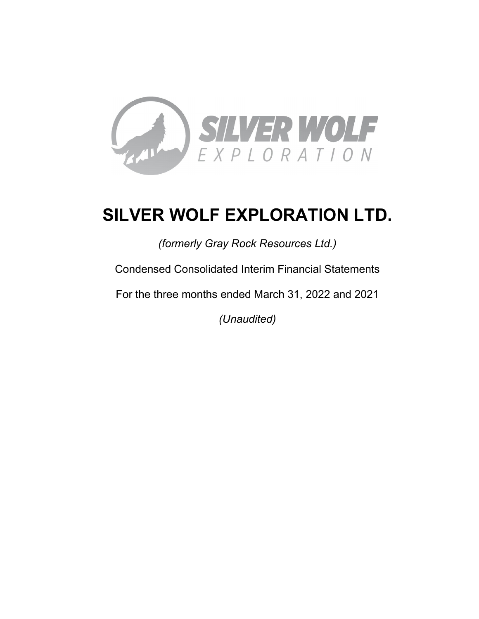

# **SILVER WOLF EXPLORATION LTD.**

*(formerly Gray Rock Resources Ltd.)*

Condensed Consolidated Interim Financial Statements

For the three months ended March 31, 2022 and 2021

*(Unaudited)*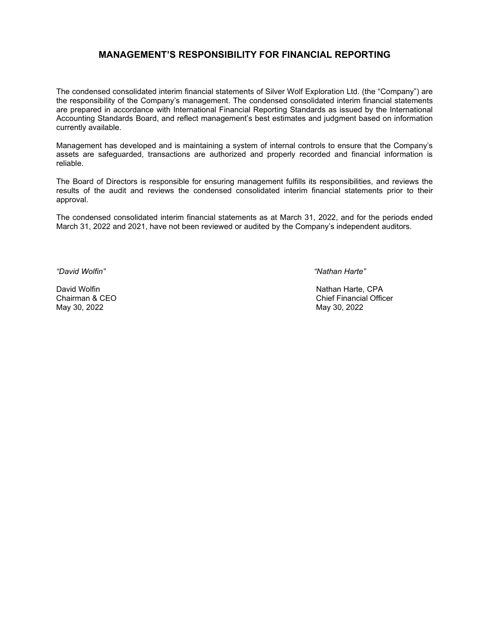# **MANAGEMENT'S RESPONSIBILITY FOR FINANCIAL REPORTING**

The condensed consolidated interim financial statements of Silver Wolf Exploration Ltd. (the "Company") are the responsibility of the Company's management. The condensed consolidated interim financial statements are prepared in accordance with International Financial Reporting Standards as issued by the International Accounting Standards Board, and reflect management's best estimates and judgment based on information currently available.

Management has developed and is maintaining a system of internal controls to ensure that the Company's assets are safeguarded, transactions are authorized and properly recorded and financial information is reliable.

The Board of Directors is responsible for ensuring management fulfills its responsibilities, and reviews the results of the audit and reviews the condensed consolidated interim financial statements prior to their approval.

The condensed consolidated interim financial statements as at March 31, 2022, and for the periods ended March 31, 2022 and 2021, have not been reviewed or audited by the Company's independent auditors.

May 30, 2022 May 30, 2022

*"David Wolfin" "Nathan Harte"*

David Wolfin Nathan Harte, CPA Chief Financial Officer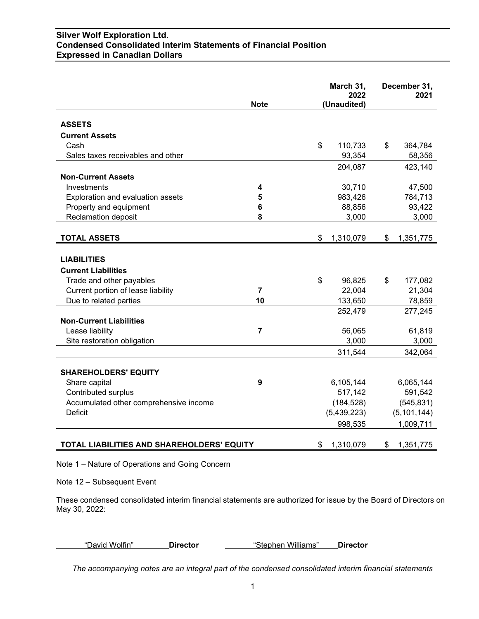# **Silver Wolf Exploration Ltd. Condensed Consolidated Interim Statements of Financial Position Expressed in Canadian Dollars**

|                                            | <b>Note</b>    | March 31,<br>2022<br>(Unaudited) |             | December 31,<br>2021 |
|--------------------------------------------|----------------|----------------------------------|-------------|----------------------|
| <b>ASSETS</b>                              |                |                                  |             |                      |
| <b>Current Assets</b>                      |                |                                  |             |                      |
| Cash                                       |                | \$                               | 110,733     | \$<br>364,784        |
| Sales taxes receivables and other          |                |                                  | 93,354      | 58,356               |
|                                            |                |                                  | 204,087     | 423,140              |
| <b>Non-Current Assets</b>                  |                |                                  |             |                      |
| Investments                                | 4              |                                  | 30,710      | 47,500               |
| Exploration and evaluation assets          | 5              |                                  | 983,426     | 784,713              |
| Property and equipment                     | 6              |                                  | 88,856      | 93,422               |
| <b>Reclamation deposit</b>                 | 8              |                                  | 3,000       | 3,000                |
| <b>TOTAL ASSETS</b>                        |                | \$                               | 1,310,079   | \$<br>1,351,775      |
|                                            |                |                                  |             |                      |
| <b>LIABILITIES</b>                         |                |                                  |             |                      |
| <b>Current Liabilities</b>                 |                |                                  |             |                      |
| Trade and other payables                   |                | \$                               | 96,825      | \$<br>177,082        |
| Current portion of lease liability         | $\overline{7}$ |                                  | 22,004      | 21,304               |
| Due to related parties                     | 10             |                                  | 133,650     | 78,859               |
|                                            |                |                                  | 252,479     | 277,245              |
| <b>Non-Current Liabilities</b>             |                |                                  |             |                      |
| Lease liability                            | $\overline{7}$ |                                  | 56,065      | 61,819               |
| Site restoration obligation                |                |                                  | 3,000       | 3,000                |
|                                            |                |                                  | 311,544     | 342,064              |
| <b>SHAREHOLDERS' EQUITY</b>                |                |                                  |             |                      |
| Share capital                              | 9              |                                  | 6,105,144   | 6,065,144            |
| Contributed surplus                        |                |                                  | 517,142     | 591,542              |
| Accumulated other comprehensive income     |                |                                  | (184, 528)  | (545, 831)           |
| <b>Deficit</b>                             |                |                                  | (5,439,223) | (5, 101, 144)        |
|                                            |                |                                  | 998,535     | 1,009,711            |
|                                            |                |                                  |             |                      |
| TOTAL LIABILITIES AND SHAREHOLDERS' EQUITY |                | \$                               | 1,310,079   | \$<br>1,351,775      |

Note 1 – Nature of Operations and Going Concern

Note 12 – Subsequent Event

These condensed consolidated interim financial statements are authorized for issue by the Board of Directors on May 30, 2022:

| David Wolfin" |
|---------------|
|---------------|

"David Wolfin" **Director** "Stephen Williams" **Director**

*The accompanying notes are an integral part of the condensed consolidated interim financial statements*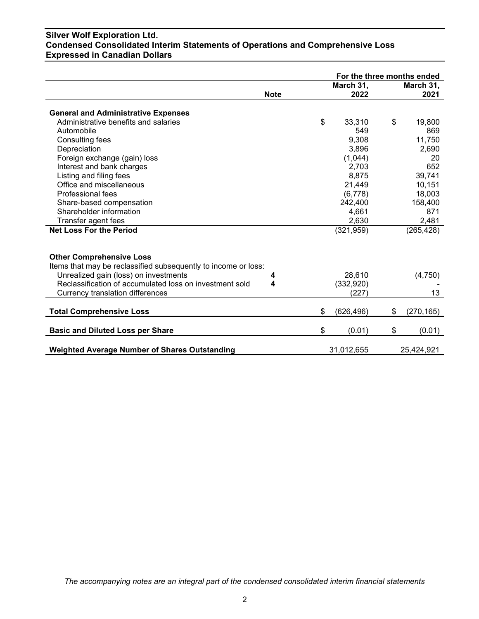# **Silver Wolf Exploration Ltd. Condensed Consolidated Interim Statements of Operations and Comprehensive Loss Expressed in Canadian Dollars**

|                                                                |             | For the three months ended |            |    |            |
|----------------------------------------------------------------|-------------|----------------------------|------------|----|------------|
|                                                                |             |                            | March 31,  |    | March 31,  |
|                                                                | <b>Note</b> |                            | 2022       |    | 2021       |
| <b>General and Administrative Expenses</b>                     |             |                            |            |    |            |
| Administrative benefits and salaries                           |             | \$                         | 33,310     | \$ | 19,800     |
| Automobile                                                     |             |                            | 549        |    | 869        |
| <b>Consulting fees</b>                                         |             |                            | 9,308      |    | 11,750     |
|                                                                |             |                            |            |    |            |
| Depreciation                                                   |             |                            | 3,896      |    | 2,690      |
| Foreign exchange (gain) loss                                   |             |                            | (1,044)    |    | 20         |
| Interest and bank charges                                      |             |                            | 2,703      |    | 652        |
| Listing and filing fees                                        |             |                            | 8,875      |    | 39,741     |
| Office and miscellaneous                                       |             |                            | 21,449     |    | 10,151     |
| Professional fees                                              |             |                            | (6,778)    |    | 18,003     |
| Share-based compensation                                       |             |                            | 242,400    |    | 158,400    |
| Shareholder information                                        |             |                            | 4,661      |    | 871        |
| Transfer agent fees                                            |             |                            | 2,630      |    | 2,481      |
| <b>Net Loss For the Period</b>                                 |             |                            | (321, 959) |    | (265, 428) |
|                                                                |             |                            |            |    |            |
| <b>Other Comprehensive Loss</b>                                |             |                            |            |    |            |
| Items that may be reclassified subsequently to income or loss: |             |                            |            |    |            |
| Unrealized gain (loss) on investments                          | 4           |                            | 28,610     |    | (4,750)    |
| Reclassification of accumulated loss on investment sold        | 4           |                            | (332, 920) |    |            |
| Currency translation differences                               |             |                            | (227)      |    | 13         |
|                                                                |             |                            |            |    |            |
| <b>Total Comprehensive Loss</b>                                |             | \$                         | (626, 496) | \$ | (270, 165) |
| <b>Basic and Diluted Loss per Share</b>                        |             | \$                         | (0.01)     | \$ | (0.01)     |
|                                                                |             |                            |            |    |            |
| <b>Weighted Average Number of Shares Outstanding</b>           |             |                            | 31,012,655 |    | 25,424,921 |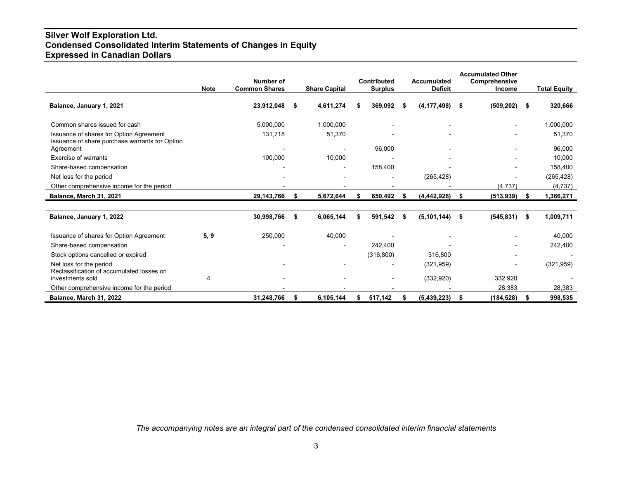# **Silver Wolf Exploration Ltd. Condensed Consolidated Interim Statements of Changes in Equity Expressed in Canadian Dollars**

|                                                                                           | <b>Note</b> | Number of<br><b>Common Shares</b> |      | <b>Share Capital</b> |    | <b>Contributed</b><br><b>Surplus</b> |     | Accumulated<br><b>Deficit</b> |      | <b>Accumulated Other</b><br>Comprehensive<br>Income |      | <b>Total Equity</b> |
|-------------------------------------------------------------------------------------------|-------------|-----------------------------------|------|----------------------|----|--------------------------------------|-----|-------------------------------|------|-----------------------------------------------------|------|---------------------|
| Balance, January 1, 2021                                                                  |             | 23,912,048                        | - \$ | 4,611,274            | S  | 369.092                              | - 5 | (4, 177, 498)                 | - \$ | (509, 202)                                          | - \$ | 320,666             |
| Common shares issued for cash                                                             |             | 5,000,000                         |      | 1,000,000            |    |                                      |     |                               |      |                                                     |      | 1,000,000           |
| Issuance of shares for Option Agreement<br>Issuance of share purchase warrants for Option |             | 131,718                           |      | 51,370               |    |                                      |     |                               |      |                                                     |      | 51,370              |
| Agreement                                                                                 |             |                                   |      |                      |    | 96,000                               |     |                               |      |                                                     |      | 96,000              |
| Exercise of warrants                                                                      |             | 100,000                           |      | 10,000               |    |                                      |     |                               |      |                                                     |      | 10,000              |
| Share-based compensation                                                                  |             |                                   |      |                      |    | 158,400                              |     |                               |      |                                                     |      | 158,400             |
| Net loss for the period                                                                   |             |                                   |      |                      |    |                                      |     | (265, 428)                    |      | $\blacksquare$                                      |      | (265, 428)          |
| Other comprehensive income for the period                                                 |             |                                   |      |                      |    |                                      |     |                               |      | (4,737)                                             |      | (4, 737)            |
| Balance, March 31, 2021                                                                   |             | 29, 143, 766                      | \$   | 5,672,644            |    | 650,492                              | \$  | (4, 442, 926)                 | \$   | (513, 939)                                          | - \$ | 1,366,271           |
|                                                                                           |             |                                   |      |                      |    |                                      |     |                               |      |                                                     |      |                     |
| Balance, January 1, 2022                                                                  |             | 30,998,766                        | \$   | 6,065,144            |    | 591,542                              | \$  | (5, 101, 144)                 | \$   | $(545, 831)$ \$                                     |      | 1,009,711           |
| Issuance of shares for Option Agreement                                                   | 5, 9        | 250,000                           |      | 40,000               |    |                                      |     |                               |      |                                                     |      | 40.000              |
| Share-based compensation                                                                  |             |                                   |      |                      |    | 242,400                              |     |                               |      |                                                     |      | 242,400             |
| Stock options cancelled or expired                                                        |             |                                   |      |                      |    | (316, 800)                           |     | 316,800                       |      |                                                     |      |                     |
| Net loss for the period<br>Reclassification of accumulated losses on                      |             |                                   |      |                      |    |                                      |     | (321, 959)                    |      |                                                     |      | (321, 959)          |
| investments sold                                                                          | 4           |                                   |      |                      |    |                                      |     | (332, 920)                    |      | 332,920                                             |      |                     |
| Other comprehensive income for the period                                                 |             |                                   |      |                      |    |                                      |     |                               |      | 28,383                                              |      | 28,383              |
| Balance, March 31, 2022                                                                   |             | 31,248,766                        | \$   | 6,105,144            | \$ | 517,142                              | \$  | (5, 439, 223)                 | \$   | $(184, 528)$ \$                                     |      | 998,535             |

*The accompanying notes are an integral part of the condensed consolidated interim financial statements*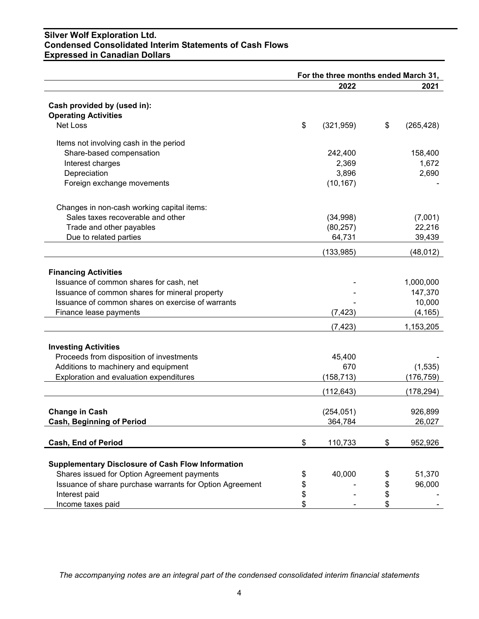# **Silver Wolf Exploration Ltd. Condensed Consolidated Interim Statements of Cash Flows Expressed in Canadian Dollars**

|                                                            | For the three months ended March 31, |            |    |            |
|------------------------------------------------------------|--------------------------------------|------------|----|------------|
|                                                            |                                      | 2022       |    | 2021       |
|                                                            |                                      |            |    |            |
| Cash provided by (used in):<br><b>Operating Activities</b> |                                      |            |    |            |
| Net Loss                                                   |                                      |            |    |            |
|                                                            | \$                                   | (321, 959) | \$ | (265, 428) |
| Items not involving cash in the period                     |                                      |            |    |            |
| Share-based compensation                                   |                                      | 242,400    |    | 158,400    |
| Interest charges                                           |                                      | 2,369      |    | 1,672      |
| Depreciation                                               |                                      | 3,896      |    | 2,690      |
| Foreign exchange movements                                 |                                      | (10, 167)  |    |            |
| Changes in non-cash working capital items:                 |                                      |            |    |            |
| Sales taxes recoverable and other                          |                                      | (34,998)   |    | (7,001)    |
| Trade and other payables                                   |                                      | (80, 257)  |    | 22,216     |
| Due to related parties                                     |                                      | 64,731     |    | 39,439     |
|                                                            |                                      | (133, 985) |    | (48, 012)  |
|                                                            |                                      |            |    |            |
| <b>Financing Activities</b>                                |                                      |            |    |            |
| Issuance of common shares for cash, net                    |                                      |            |    | 1,000,000  |
| Issuance of common shares for mineral property             |                                      |            |    | 147,370    |
| Issuance of common shares on exercise of warrants          |                                      |            |    | 10,000     |
| Finance lease payments                                     |                                      | (7, 423)   |    | (4, 165)   |
|                                                            |                                      | (7, 423)   |    | 1,153,205  |
| <b>Investing Activities</b>                                |                                      |            |    |            |
| Proceeds from disposition of investments                   |                                      | 45,400     |    |            |
| Additions to machinery and equipment                       |                                      | 670        |    | (1,535)    |
| Exploration and evaluation expenditures                    |                                      | (158, 713) |    | (176, 759) |
|                                                            |                                      | (112, 643) |    | (178,294)  |
|                                                            |                                      |            |    |            |
| <b>Change in Cash</b>                                      |                                      | (254, 051) |    | 926,899    |
| <b>Cash, Beginning of Period</b>                           |                                      | 364,784    |    | 26,027     |
| <b>Cash, End of Period</b>                                 | \$                                   | 110,733    | \$ | 952,926    |
|                                                            |                                      |            |    |            |
| <b>Supplementary Disclosure of Cash Flow Information</b>   |                                      |            |    |            |
| Shares issued for Option Agreement payments                | \$                                   | 40,000     | \$ | 51,370     |
| Issuance of share purchase warrants for Option Agreement   | \$                                   |            | \$ | 96,000     |
| Interest paid                                              | \$                                   |            | \$ |            |
| Income taxes paid                                          | \$                                   |            | \$ |            |

*The accompanying notes are an integral part of the condensed consolidated interim financial statements*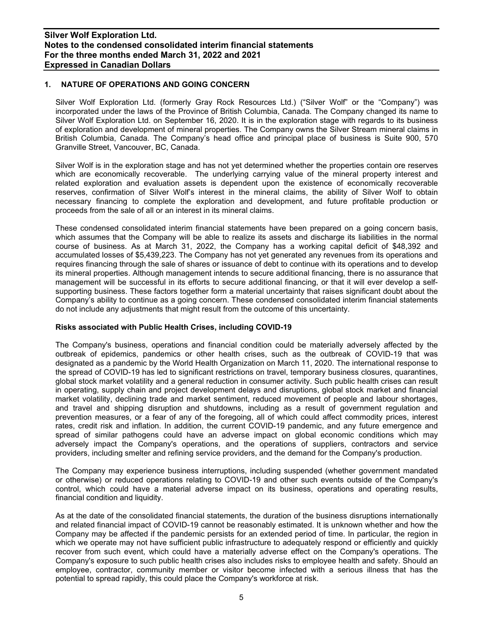## **1. NATURE OF OPERATIONS AND GOING CONCERN**

Silver Wolf Exploration Ltd. (formerly Gray Rock Resources Ltd.) ("Silver Wolf" or the "Company") was incorporated under the laws of the Province of British Columbia, Canada. The Company changed its name to Silver Wolf Exploration Ltd. on September 16, 2020. It is in the exploration stage with regards to its business of exploration and development of mineral properties. The Company owns the Silver Stream mineral claims in British Columbia, Canada. The Company's head office and principal place of business is Suite 900, 570 Granville Street, Vancouver, BC, Canada.

Silver Wolf is in the exploration stage and has not yet determined whether the properties contain ore reserves which are economically recoverable. The underlying carrying value of the mineral property interest and related exploration and evaluation assets is dependent upon the existence of economically recoverable reserves, confirmation of Silver Wolf's interest in the mineral claims, the ability of Silver Wolf to obtain necessary financing to complete the exploration and development, and future profitable production or proceeds from the sale of all or an interest in its mineral claims.

These condensed consolidated interim financial statements have been prepared on a going concern basis, which assumes that the Company will be able to realize its assets and discharge its liabilities in the normal course of business. As at March 31, 2022, the Company has a working capital deficit of \$48,392 and accumulated losses of \$5,439,223. The Company has not yet generated any revenues from its operations and requires financing through the sale of shares or issuance of debt to continue with its operations and to develop its mineral properties. Although management intends to secure additional financing, there is no assurance that management will be successful in its efforts to secure additional financing, or that it will ever develop a selfsupporting business. These factors together form a material uncertainty that raises significant doubt about the Company's ability to continue as a going concern. These condensed consolidated interim financial statements do not include any adjustments that might result from the outcome of this uncertainty.

## **Risks associated with Public Health Crises, including COVID-19**

The Company's business, operations and financial condition could be materially adversely affected by the outbreak of epidemics, pandemics or other health crises, such as the outbreak of COVID-19 that was designated as a pandemic by the World Health Organization on March 11, 2020. The international response to the spread of COVID-19 has led to significant restrictions on travel, temporary business closures, quarantines, global stock market volatility and a general reduction in consumer activity. Such public health crises can result in operating, supply chain and project development delays and disruptions, global stock market and financial market volatility, declining trade and market sentiment, reduced movement of people and labour shortages, and travel and shipping disruption and shutdowns, including as a result of government regulation and prevention measures, or a fear of any of the foregoing, all of which could affect commodity prices, interest rates, credit risk and inflation. In addition, the current COVID-19 pandemic, and any future emergence and spread of similar pathogens could have an adverse impact on global economic conditions which may adversely impact the Company's operations, and the operations of suppliers, contractors and service providers, including smelter and refining service providers, and the demand for the Company's production.

The Company may experience business interruptions, including suspended (whether government mandated or otherwise) or reduced operations relating to COVID-19 and other such events outside of the Company's control, which could have a material adverse impact on its business, operations and operating results, financial condition and liquidity.

As at the date of the consolidated financial statements, the duration of the business disruptions internationally and related financial impact of COVID-19 cannot be reasonably estimated. It is unknown whether and how the Company may be affected if the pandemic persists for an extended period of time. In particular, the region in which we operate may not have sufficient public infrastructure to adequately respond or efficiently and quickly recover from such event, which could have a materially adverse effect on the Company's operations. The Company's exposure to such public health crises also includes risks to employee health and safety. Should an employee, contractor, community member or visitor become infected with a serious illness that has the potential to spread rapidly, this could place the Company's workforce at risk.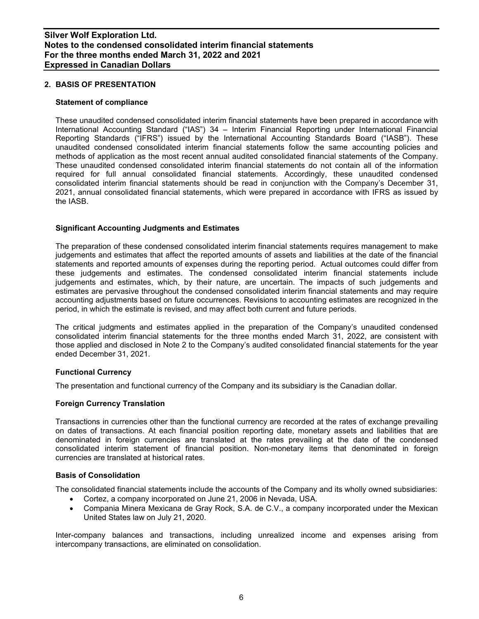## **2. BASIS OF PRESENTATION**

#### **Statement of compliance**

These unaudited condensed consolidated interim financial statements have been prepared in accordance with International Accounting Standard ("IAS") 34 – Interim Financial Reporting under International Financial Reporting Standards ("IFRS") issued by the International Accounting Standards Board ("IASB"). These unaudited condensed consolidated interim financial statements follow the same accounting policies and methods of application as the most recent annual audited consolidated financial statements of the Company. These unaudited condensed consolidated interim financial statements do not contain all of the information required for full annual consolidated financial statements. Accordingly, these unaudited condensed consolidated interim financial statements should be read in conjunction with the Company's December 31, 2021, annual consolidated financial statements, which were prepared in accordance with IFRS as issued by the IASB.

## **Significant Accounting Judgments and Estimates**

The preparation of these condensed consolidated interim financial statements requires management to make judgements and estimates that affect the reported amounts of assets and liabilities at the date of the financial statements and reported amounts of expenses during the reporting period. Actual outcomes could differ from these judgements and estimates. The condensed consolidated interim financial statements include judgements and estimates, which, by their nature, are uncertain. The impacts of such judgements and estimates are pervasive throughout the condensed consolidated interim financial statements and may require accounting adjustments based on future occurrences. Revisions to accounting estimates are recognized in the period, in which the estimate is revised, and may affect both current and future periods.

The critical judgments and estimates applied in the preparation of the Company's unaudited condensed consolidated interim financial statements for the three months ended March 31, 2022, are consistent with those applied and disclosed in Note 2 to the Company's audited consolidated financial statements for the year ended December 31, 2021.

## **Functional Currency**

The presentation and functional currency of the Company and its subsidiary is the Canadian dollar.

## **Foreign Currency Translation**

Transactions in currencies other than the functional currency are recorded at the rates of exchange prevailing on dates of transactions. At each financial position reporting date, monetary assets and liabilities that are denominated in foreign currencies are translated at the rates prevailing at the date of the condensed consolidated interim statement of financial position. Non-monetary items that denominated in foreign currencies are translated at historical rates.

## **Basis of Consolidation**

The consolidated financial statements include the accounts of the Company and its wholly owned subsidiaries:

- Cortez, a company incorporated on June 21, 2006 in Nevada, USA.
- Compania Minera Mexicana de Gray Rock, S.A. de C.V., a company incorporated under the Mexican United States law on July 21, 2020.

Inter-company balances and transactions, including unrealized income and expenses arising from intercompany transactions, are eliminated on consolidation.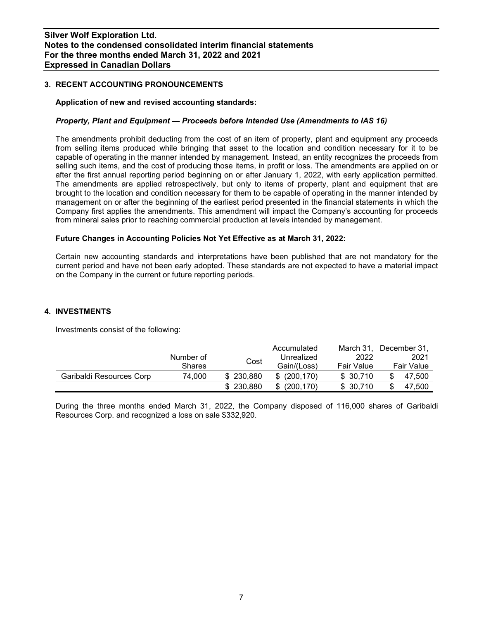## **3. RECENT ACCOUNTING PRONOUNCEMENTS**

## **Application of new and revised accounting standards:**

## *Property, Plant and Equipment — Proceeds before Intended Use (Amendments to IAS 16)*

The amendments prohibit deducting from the cost of an item of property, plant and equipment any proceeds from selling items produced while bringing that asset to the location and condition necessary for it to be capable of operating in the manner intended by management. Instead, an entity recognizes the proceeds from selling such items, and the cost of producing those items, in profit or loss. The amendments are applied on or after the first annual reporting period beginning on or after January 1, 2022, with early application permitted. The amendments are applied retrospectively, but only to items of property, plant and equipment that are brought to the location and condition necessary for them to be capable of operating in the manner intended by management on or after the beginning of the earliest period presented in the financial statements in which the Company first applies the amendments. This amendment will impact the Company's accounting for proceeds from mineral sales prior to reaching commercial production at levels intended by management.

## **Future Changes in Accounting Policies Not Yet Effective as at March 31, 2022:**

Certain new accounting standards and interpretations have been published that are not mandatory for the current period and have not been early adopted. These standards are not expected to have a material impact on the Company in the current or future reporting periods.

## **4. INVESTMENTS**

Investments consist of the following:

|                          |               |           | Accumulated       | March 31.  | December 31. |
|--------------------------|---------------|-----------|-------------------|------------|--------------|
|                          | Number of     |           | Unrealized        | 2022       | 2021         |
|                          | <b>Shares</b> | Cost      | Gain/(Loss)       | Fair Value | Fair Value   |
| Garibaldi Resources Corp | 74.000        | \$230,880 | (200.170)<br>\$   | \$30.710   | 47.500       |
|                          |               | \$230,880 | (200, 170)<br>\$. | \$30.710   | 47.500       |

During the three months ended March 31, 2022, the Company disposed of 116,000 shares of Garibaldi Resources Corp. and recognized a loss on sale \$332,920.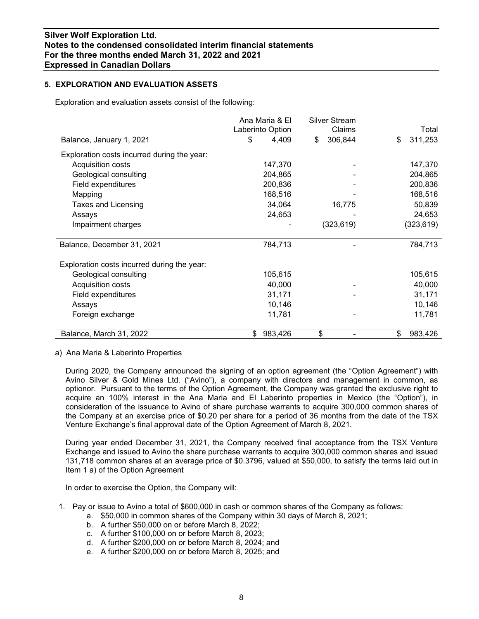## **5. EXPLORATION AND EVALUATION ASSETS**

Exploration and evaluation assets consist of the following:

|                                             | Ana Maria & El |                  | <b>Silver Stream</b> |               |
|---------------------------------------------|----------------|------------------|----------------------|---------------|
|                                             |                | Laberinto Option | Claims               | Total         |
| Balance, January 1, 2021                    | \$             | 4,409            | \$<br>306,844        | \$<br>311,253 |
| Exploration costs incurred during the year: |                |                  |                      |               |
| Acquisition costs                           |                | 147,370          |                      | 147,370       |
| Geological consulting                       |                | 204,865          |                      | 204,865       |
| Field expenditures                          |                | 200,836          |                      | 200,836       |
| Mapping                                     |                | 168,516          |                      | 168,516       |
| Taxes and Licensing                         |                | 34,064           | 16,775               | 50,839        |
| Assays                                      |                | 24,653           |                      | 24,653        |
| Impairment charges                          |                |                  | (323, 619)           | (323, 619)    |
| Balance, December 31, 2021                  |                | 784,713          |                      | 784,713       |
| Exploration costs incurred during the year: |                |                  |                      |               |
| Geological consulting                       |                | 105,615          |                      | 105,615       |
| Acquisition costs                           |                | 40,000           |                      | 40,000        |
| Field expenditures                          |                | 31,171           |                      | 31,171        |
| Assays                                      |                | 10,146           |                      | 10,146        |
| Foreign exchange                            |                | 11,781           |                      | 11,781        |
| Balance, March 31, 2022                     | \$             | 983,426          | \$                   | \$<br>983,426 |

## a) Ana Maria & Laberinto Properties

During 2020, the Company announced the signing of an option agreement (the "Option Agreement") with Avino Silver & Gold Mines Ltd. ("Avino"), a company with directors and management in common, as optionor. Pursuant to the terms of the Option Agreement, the Company was granted the exclusive right to acquire an 100% interest in the Ana Maria and El Laberinto properties in Mexico (the "Option"), in consideration of the issuance to Avino of share purchase warrants to acquire 300,000 common shares of the Company at an exercise price of \$0.20 per share for a period of 36 months from the date of the TSX Venture Exchange's final approval date of the Option Agreement of March 8, 2021.

During year ended December 31, 2021, the Company received final acceptance from the TSX Venture Exchange and issued to Avino the share purchase warrants to acquire 300,000 common shares and issued 131,718 common shares at an average price of \$0.3796, valued at \$50,000, to satisfy the terms laid out in Item 1 a) of the Option Agreement

In order to exercise the Option, the Company will:

- 1. Pay or issue to Avino a total of \$600,000 in cash or common shares of the Company as follows:
	- a. \$50,000 in common shares of the Company within 30 days of March 8, 2021;
	- b. A further \$50,000 on or before March 8, 2022;
	- c. A further \$100,000 on or before March 8, 2023;
	- d. A further \$200,000 on or before March 8, 2024; and
	- e. A further \$200,000 on or before March 8, 2025; and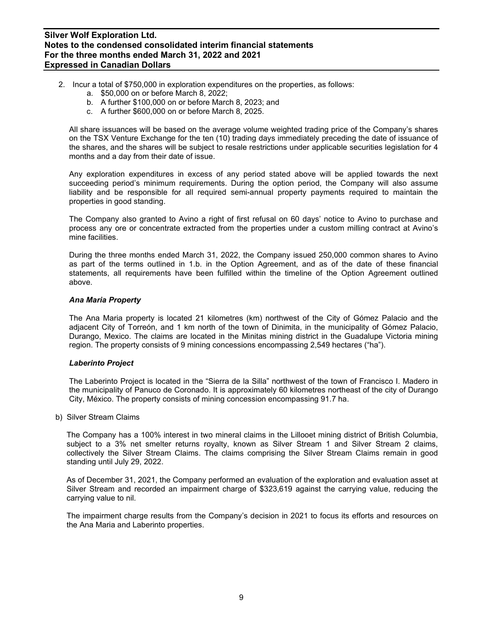- 2. Incur a total of \$750,000 in exploration expenditures on the properties, as follows:
	- a. \$50,000 on or before March 8, 2022;
	- b. A further \$100,000 on or before March 8, 2023; and
	- c. A further \$600,000 on or before March 8, 2025.

All share issuances will be based on the average volume weighted trading price of the Company's shares on the TSX Venture Exchange for the ten (10) trading days immediately preceding the date of issuance of the shares, and the shares will be subject to resale restrictions under applicable securities legislation for 4 months and a day from their date of issue.

Any exploration expenditures in excess of any period stated above will be applied towards the next succeeding period's minimum requirements. During the option period, the Company will also assume liability and be responsible for all required semi-annual property payments required to maintain the properties in good standing.

The Company also granted to Avino a right of first refusal on 60 days' notice to Avino to purchase and process any ore or concentrate extracted from the properties under a custom milling contract at Avino's mine facilities.

During the three months ended March 31, 2022, the Company issued 250,000 common shares to Avino as part of the terms outlined in 1.b. in the Option Agreement, and as of the date of these financial statements, all requirements have been fulfilled within the timeline of the Option Agreement outlined above.

#### *Ana Maria Property*

The Ana Maria property is located 21 kilometres (km) northwest of the City of Gómez Palacio and the adjacent City of Torreón, and 1 km north of the town of Dinimita, in the municipality of Gómez Palacio, Durango, Mexico. The claims are located in the Minitas mining district in the Guadalupe Victoria mining region. The property consists of 9 mining concessions encompassing 2,549 hectares ("ha").

#### *Laberinto Project*

The Laberinto Project is located in the "Sierra de la Silla" northwest of the town of Francisco I. Madero in the municipality of Panuco de Coronado. It is approximately 60 kilometres northeast of the city of Durango City, México. The property consists of mining concession encompassing 91.7 ha.

#### b) Silver Stream Claims

The Company has a 100% interest in two mineral claims in the Lillooet mining district of British Columbia, subject to a 3% net smelter returns royalty, known as Silver Stream 1 and Silver Stream 2 claims, collectively the Silver Stream Claims. The claims comprising the Silver Stream Claims remain in good standing until July 29, 2022.

As of December 31, 2021, the Company performed an evaluation of the exploration and evaluation asset at Silver Stream and recorded an impairment charge of \$323,619 against the carrying value, reducing the carrying value to nil.

The impairment charge results from the Company's decision in 2021 to focus its efforts and resources on the Ana Maria and Laberinto properties.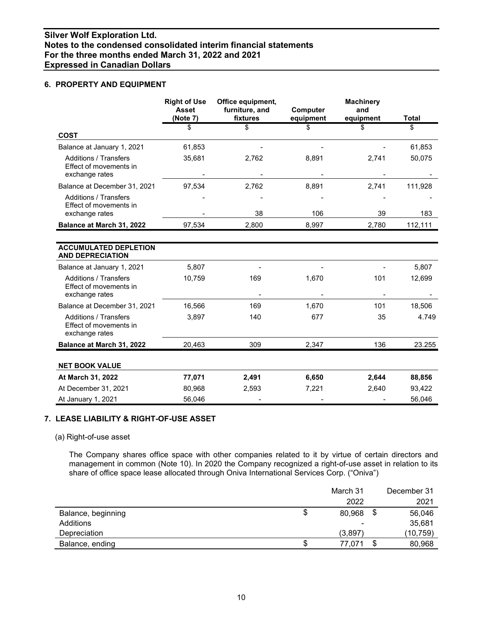## **6. PROPERTY AND EQUIPMENT**

|                                                                          | <b>Right of Use</b><br><b>Asset</b><br>(Note 7) | Office equipment,<br>furniture, and<br>fixtures | Computer<br>equipment | <b>Machinery</b><br>and<br>equipment | <b>Total</b> |
|--------------------------------------------------------------------------|-------------------------------------------------|-------------------------------------------------|-----------------------|--------------------------------------|--------------|
|                                                                          | \$                                              | \$                                              | \$                    | \$                                   | \$           |
| <b>COST</b>                                                              |                                                 |                                                 |                       |                                      |              |
| Balance at January 1, 2021                                               | 61,853                                          |                                                 |                       |                                      | 61,853       |
| <b>Additions / Transfers</b><br>Effect of movements in<br>exchange rates | 35,681                                          | 2,762                                           | 8,891                 | 2,741                                | 50,075       |
| Balance at December 31, 2021                                             | 97,534                                          | 2,762                                           | 8,891                 | 2,741                                | 111,928      |
| <b>Additions / Transfers</b><br>Effect of movements in                   |                                                 |                                                 |                       |                                      |              |
| exchange rates                                                           |                                                 | 38                                              | 106                   | 39                                   | 183          |
| Balance at March 31, 2022                                                | 97,534                                          | 2,800                                           | 8,997                 | 2,780                                | 112,111      |
|                                                                          |                                                 |                                                 |                       |                                      |              |
| <b>ACCUMULATED DEPLETION</b><br><b>AND DEPRECIATION</b>                  |                                                 |                                                 |                       |                                      |              |
| Balance at January 1, 2021                                               | 5,807                                           |                                                 |                       |                                      | 5,807        |
| <b>Additions / Transfers</b><br>Effect of movements in<br>exchange rates | 10,759                                          | 169                                             | 1,670                 | 101                                  | 12,699       |
| Balance at December 31, 2021                                             | 16,566                                          | 169                                             | 1,670                 | 101                                  | 18,506       |
|                                                                          |                                                 |                                                 |                       |                                      |              |
| <b>Additions / Transfers</b><br>Effect of movements in<br>exchange rates | 3,897                                           | 140                                             | 677                   | 35                                   | 4.749        |
| Balance at March 31, 2022                                                | 20,463                                          | 309                                             | 2,347                 | 136                                  | 23.255       |
| <b>NET BOOK VALUE</b>                                                    |                                                 |                                                 |                       |                                      |              |
| At March 31, 2022                                                        | 77,071                                          | 2,491                                           | 6,650                 | 2,644                                | 88,856       |
| At December 31, 2021                                                     | 80,968                                          | 2,593                                           | 7,221                 | 2,640                                | 93,422       |
| At January 1, 2021                                                       | 56,046                                          |                                                 |                       |                                      | 56,046       |

# **7. LEASE LIABILITY & RIGHT-OF-USE ASSET**

(a) Right-of-use asset

The Company shares office space with other companies related to it by virtue of certain directors and management in common (Note 10). In 2020 the Company recognized a right-of-use asset in relation to its share of office space lease allocated through Oniva International Services Corp. ("Oniva")

|                    |   | March 31 |    | December 31 |
|--------------------|---|----------|----|-------------|
|                    |   | 2022     |    | 2021        |
| Balance, beginning | S | 80,968   | \$ | 56,046      |
| Additions          |   |          |    | 35,681      |
| Depreciation       |   | (3,897)  |    | (10, 759)   |
| Balance, ending    | S | 77,071   | S  | 80,968      |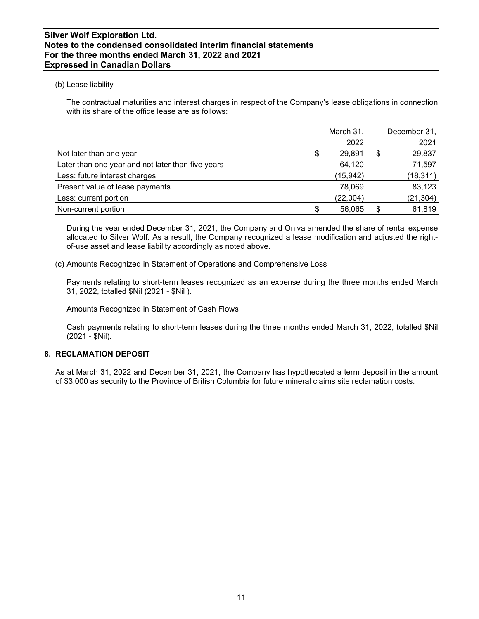## (b) Lease liability

The contractual maturities and interest charges in respect of the Company's lease obligations in connection with its share of the office lease are as follows:

|                                                   | March 31,    | December 31, |
|---------------------------------------------------|--------------|--------------|
|                                                   | 2022         | 2021         |
| Not later than one year                           | \$<br>29.891 | \$<br>29,837 |
| Later than one year and not later than five years | 64,120       | 71,597       |
| Less: future interest charges                     | (15, 942)    | (18, 311)    |
| Present value of lease payments                   | 78,069       | 83,123       |
| Less: current portion                             | (22,004)     | (21, 304)    |
| Non-current portion                               | 56,065       | 61,819       |

During the year ended December 31, 2021, the Company and Oniva amended the share of rental expense allocated to Silver Wolf. As a result, the Company recognized a lease modification and adjusted the rightof-use asset and lease liability accordingly as noted above.

(c) Amounts Recognized in Statement of Operations and Comprehensive Loss

Payments relating to short-term leases recognized as an expense during the three months ended March 31, 2022, totalled \$Nil (2021 - \$Nil ).

Amounts Recognized in Statement of Cash Flows

Cash payments relating to short-term leases during the three months ended March 31, 2022, totalled \$Nil (2021 - \$Nil).

# **8. RECLAMATION DEPOSIT**

As at March 31, 2022 and December 31, 2021, the Company has hypothecated a term deposit in the amount of \$3,000 as security to the Province of British Columbia for future mineral claims site reclamation costs.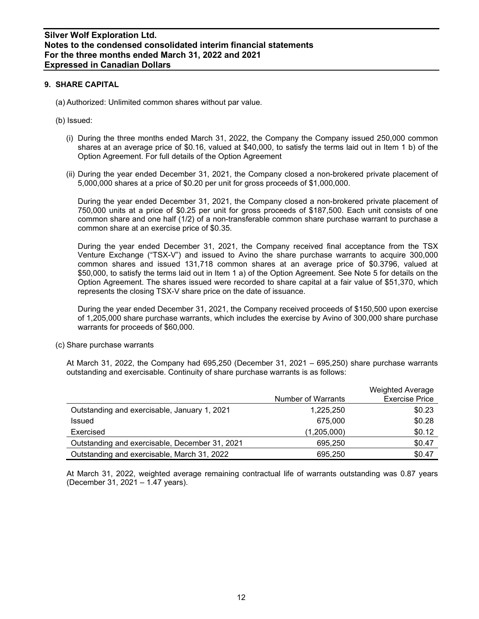## **9. SHARE CAPITAL**

- (a) Authorized: Unlimited common shares without par value.
- (b) Issued:
	- (i) During the three months ended March 31, 2022, the Company the Company issued 250,000 common shares at an average price of \$0.16, valued at \$40,000, to satisfy the terms laid out in Item 1 b) of the Option Agreement. For full details of the Option Agreement
	- (ii) During the year ended December 31, 2021, the Company closed a non-brokered private placement of 5,000,000 shares at a price of \$0.20 per unit for gross proceeds of \$1,000,000.

During the year ended December 31, 2021, the Company closed a non-brokered private placement of 750,000 units at a price of \$0.25 per unit for gross proceeds of \$187,500. Each unit consists of one common share and one half (1/2) of a non-transferable common share purchase warrant to purchase a common share at an exercise price of \$0.35.

During the year ended December 31, 2021, the Company received final acceptance from the TSX Venture Exchange ("TSX-V") and issued to Avino the share purchase warrants to acquire 300,000 common shares and issued 131,718 common shares at an average price of \$0.3796, valued at \$50,000, to satisfy the terms laid out in Item 1 a) of the Option Agreement. See Note 5 for details on the Option Agreement. The shares issued were recorded to share capital at a fair value of \$51,370, which represents the closing TSX-V share price on the date of issuance.

During the year ended December 31, 2021, the Company received proceeds of \$150,500 upon exercise of 1,205,000 share purchase warrants, which includes the exercise by Avino of 300,000 share purchase warrants for proceeds of \$60,000.

(c) Share purchase warrants

At March 31, 2022, the Company had 695,250 (December 31, 2021 – 695,250) share purchase warrants outstanding and exercisable. Continuity of share purchase warrants is as follows:

|                                                | Number of Warrants | <b>Weighted Average</b><br><b>Exercise Price</b> |
|------------------------------------------------|--------------------|--------------------------------------------------|
| Outstanding and exercisable, January 1, 2021   | 1,225,250          | \$0.23                                           |
| <b>Issued</b>                                  | 675,000            | \$0.28                                           |
| Exercised                                      | (1,205,000)        | \$0.12                                           |
| Outstanding and exercisable, December 31, 2021 | 695,250            | \$0.47                                           |
| Outstanding and exercisable, March 31, 2022    | 695.250            | \$0.47                                           |

At March 31, 2022, weighted average remaining contractual life of warrants outstanding was 0.87 years (December 31, 2021 – 1.47 years).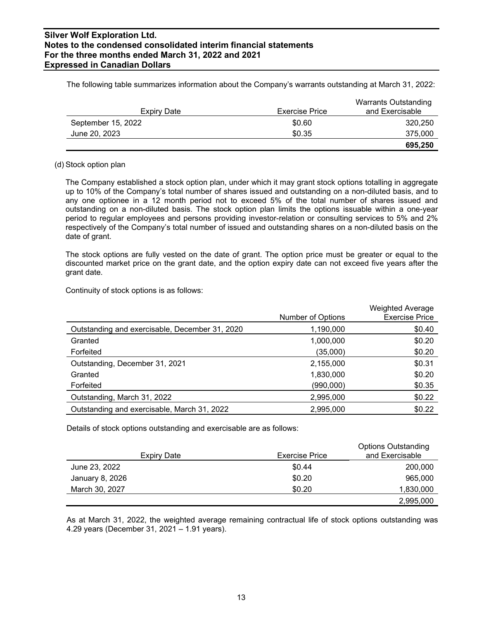| Expiry Date        | <b>Exercise Price</b> | <b>Warrants Outstanding</b><br>and Exercisable |
|--------------------|-----------------------|------------------------------------------------|
| September 15, 2022 | \$0.60                | 320,250                                        |
| June 20, 2023      | \$0.35                | 375,000                                        |
|                    |                       | 695,250                                        |

The following table summarizes information about the Company's warrants outstanding at March 31, 2022:

#### (d) Stock option plan

The Company established a stock option plan, under which it may grant stock options totalling in aggregate up to 10% of the Company's total number of shares issued and outstanding on a non-diluted basis, and to any one optionee in a 12 month period not to exceed 5% of the total number of shares issued and outstanding on a non-diluted basis. The stock option plan limits the options issuable within a one-year period to regular employees and persons providing investor-relation or consulting services to 5% and 2% respectively of the Company's total number of issued and outstanding shares on a non-diluted basis on the date of grant.

The stock options are fully vested on the date of grant. The option price must be greater or equal to the discounted market price on the grant date, and the option expiry date can not exceed five years after the grant date.

Continuity of stock options is as follows:

|                                                |                   | <b>Weighted Average</b> |
|------------------------------------------------|-------------------|-------------------------|
|                                                | Number of Options | <b>Exercise Price</b>   |
| Outstanding and exercisable, December 31, 2020 | 1,190,000         | \$0.40                  |
| Granted                                        | 1,000,000         | \$0.20                  |
| Forfeited                                      | (35,000)          | \$0.20                  |
| Outstanding, December 31, 2021                 | 2,155,000         | \$0.31                  |
| Granted                                        | 1,830,000         | \$0.20                  |
| Forfeited                                      | (990,000)         | \$0.35                  |
| Outstanding, March 31, 2022                    | 2,995,000         | \$0.22                  |
| Outstanding and exercisable, March 31, 2022    | 2,995,000         | \$0.22                  |

Details of stock options outstanding and exercisable are as follows:

| Expiry Date     | <b>Exercise Price</b> | <b>Options Outstanding</b><br>and Exercisable |
|-----------------|-----------------------|-----------------------------------------------|
| June 23, 2022   | \$0.44                | 200,000                                       |
| January 8, 2026 | \$0.20                | 965,000                                       |
| March 30, 2027  | \$0.20                | 1,830,000                                     |
|                 |                       | 2,995,000                                     |

As at March 31, 2022, the weighted average remaining contractual life of stock options outstanding was 4.29 years (December 31, 2021 – 1.91 years).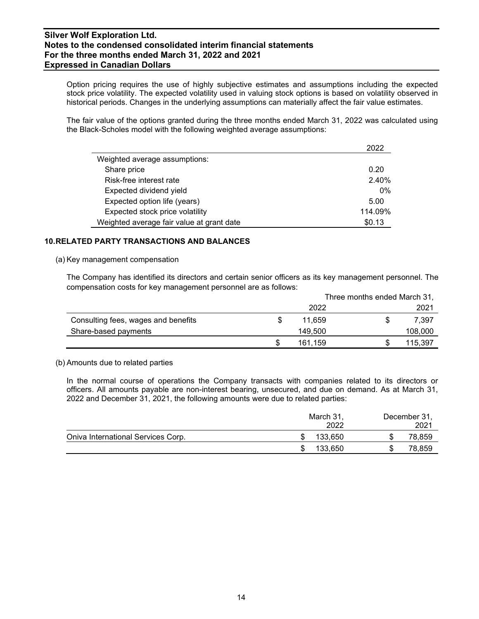Option pricing requires the use of highly subjective estimates and assumptions including the expected stock price volatility. The expected volatility used in valuing stock options is based on volatility observed in historical periods. Changes in the underlying assumptions can materially affect the fair value estimates.

The fair value of the options granted during the three months ended March 31, 2022 was calculated using the Black-Scholes model with the following weighted average assumptions:

|                                           | 2022    |
|-------------------------------------------|---------|
| Weighted average assumptions:             |         |
| Share price                               | 0.20    |
| Risk-free interest rate                   | 2.40%   |
| Expected dividend yield                   | 0%      |
| Expected option life (years)              | 5.00    |
| Expected stock price volatility           | 114.09% |
| Weighted average fair value at grant date | \$0.13  |

# **10.RELATED PARTY TRANSACTIONS AND BALANCES**

(a) Key management compensation

The Company has identified its directors and certain senior officers as its key management personnel. The compensation costs for key management personnel are as follows:

|                                     | Three months ended March 31, |  |         |  |
|-------------------------------------|------------------------------|--|---------|--|
|                                     | 2022                         |  | 2021    |  |
| Consulting fees, wages and benefits | 11.659                       |  | 7.397   |  |
| Share-based payments                | 149.500                      |  | 108,000 |  |
|                                     | 161.159                      |  | 115,397 |  |

(b) Amounts due to related parties

In the normal course of operations the Company transacts with companies related to its directors or officers. All amounts payable are non-interest bearing, unsecured, and due on demand. As at March 31, 2022 and December 31, 2021, the following amounts were due to related parties:

|                                    | March 31,<br>2022 | December 31,<br>2021 |
|------------------------------------|-------------------|----------------------|
| Oniva International Services Corp. | 133.650           | 78,859               |
|                                    | 133.650           | 78,859               |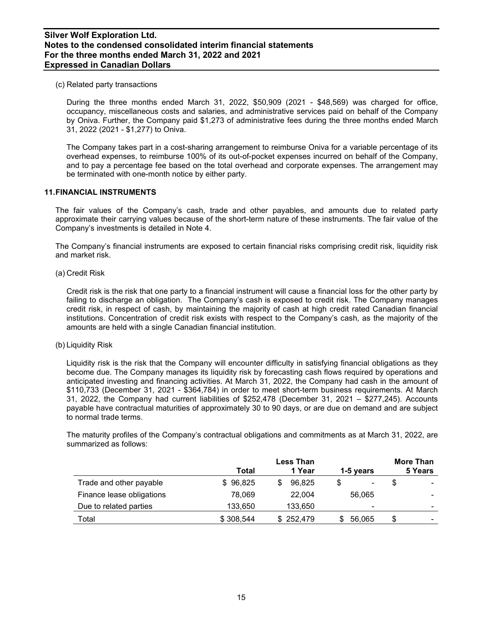(c) Related party transactions

During the three months ended March 31, 2022, \$50,909 (2021 - \$48,569) was charged for office, occupancy, miscellaneous costs and salaries, and administrative services paid on behalf of the Company by Oniva. Further, the Company paid \$1,273 of administrative fees during the three months ended March 31, 2022 (2021 - \$1,277) to Oniva.

The Company takes part in a cost-sharing arrangement to reimburse Oniva for a variable percentage of its overhead expenses, to reimburse 100% of its out-of-pocket expenses incurred on behalf of the Company, and to pay a percentage fee based on the total overhead and corporate expenses. The arrangement may be terminated with one-month notice by either party.

## **11.FINANCIAL INSTRUMENTS**

The fair values of the Company's cash, trade and other payables, and amounts due to related party approximate their carrying values because of the short-term nature of these instruments. The fair value of the Company's investments is detailed in Note 4.

The Company's financial instruments are exposed to certain financial risks comprising credit risk, liquidity risk and market risk.

(a) Credit Risk

Credit risk is the risk that one party to a financial instrument will cause a financial loss for the other party by failing to discharge an obligation. The Company's cash is exposed to credit risk. The Company manages credit risk, in respect of cash, by maintaining the majority of cash at high credit rated Canadian financial institutions. Concentration of credit risk exists with respect to the Company's cash, as the majority of the amounts are held with a single Canadian financial institution.

(b) Liquidity Risk

Liquidity risk is the risk that the Company will encounter difficulty in satisfying financial obligations as they become due. The Company manages its liquidity risk by forecasting cash flows required by operations and anticipated investing and financing activities. At March 31, 2022, the Company had cash in the amount of \$110,733 (December 31, 2021 - \$364,784) in order to meet short-term business requirements. At March 31, 2022, the Company had current liabilities of \$252,478 (December 31, 2021 – \$277,245). Accounts payable have contractual maturities of approximately 30 to 90 days, or are due on demand and are subject to normal trade terms.

The maturity profiles of the Company's contractual obligations and commitments as at March 31, 2022, are summarized as follows:

|                           | Total     | <b>Less Than</b><br>1 Year | 1-5 years      | More Than<br>5 Years          |
|---------------------------|-----------|----------------------------|----------------|-------------------------------|
| Trade and other payable   | \$96,825  | 96.825<br>S                | -              | S                             |
| Finance lease obligations | 78,069    | 22,004                     | 56.065         | $\overline{\phantom{0}}$      |
| Due to related parties    | 133,650   | 133,650                    | $\blacksquare$ | $\overline{\phantom{0}}$      |
| Total                     | \$308,544 | \$252.479                  | 56,065         | S<br>$\overline{\phantom{a}}$ |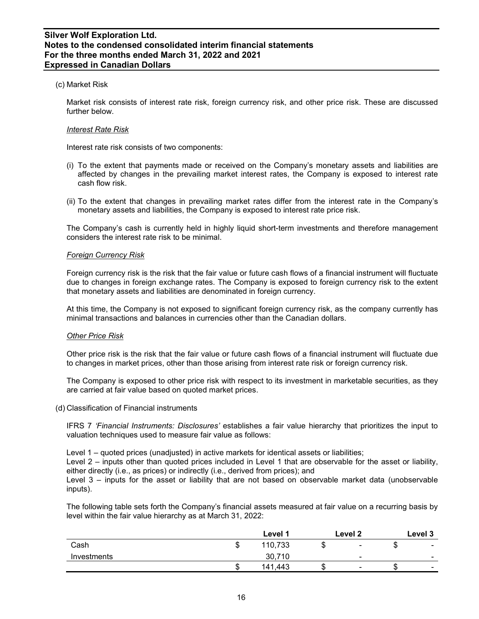## (c) Market Risk

Market risk consists of interest rate risk, foreign currency risk, and other price risk. These are discussed further below.

#### *Interest Rate Risk*

Interest rate risk consists of two components:

- (i) To the extent that payments made or received on the Company's monetary assets and liabilities are affected by changes in the prevailing market interest rates, the Company is exposed to interest rate cash flow risk.
- (ii) To the extent that changes in prevailing market rates differ from the interest rate in the Company's monetary assets and liabilities, the Company is exposed to interest rate price risk.

The Company's cash is currently held in highly liquid short-term investments and therefore management considers the interest rate risk to be minimal.

#### *Foreign Currency Risk*

Foreign currency risk is the risk that the fair value or future cash flows of a financial instrument will fluctuate due to changes in foreign exchange rates. The Company is exposed to foreign currency risk to the extent that monetary assets and liabilities are denominated in foreign currency.

At this time, the Company is not exposed to significant foreign currency risk, as the company currently has minimal transactions and balances in currencies other than the Canadian dollars.

#### *Other Price Risk*

Other price risk is the risk that the fair value or future cash flows of a financial instrument will fluctuate due to changes in market prices, other than those arising from interest rate risk or foreign currency risk.

The Company is exposed to other price risk with respect to its investment in marketable securities, as they are carried at fair value based on quoted market prices.

(d) Classification of Financial instruments

IFRS 7 *'Financial Instruments: Disclosures'* establishes a fair value hierarchy that prioritizes the input to valuation techniques used to measure fair value as follows:

Level 1 – quoted prices (unadjusted) in active markets for identical assets or liabilities;

Level 2 – inputs other than quoted prices included in Level 1 that are observable for the asset or liability, either directly (i.e., as prices) or indirectly (i.e., derived from prices); and

Level 3 – inputs for the asset or liability that are not based on observable market data (unobservable inputs).

The following table sets forth the Company's financial assets measured at fair value on a recurring basis by level within the fair value hierarchy as at March 31, 2022:

|             |    | Level 1 |     | Level <sub>2</sub>       |    | Level 3                  |
|-------------|----|---------|-----|--------------------------|----|--------------------------|
| Cash        | w  | 110,733 | Œ   | $\blacksquare$           | ۰D | $\sim$                   |
| Investments |    | 30,710  |     | $\overline{\phantom{a}}$ |    | $\overline{\phantom{0}}$ |
|             | κD | 141,443 | ۰D. | $\overline{\phantom{0}}$ | ۰D | $\overline{\phantom{0}}$ |